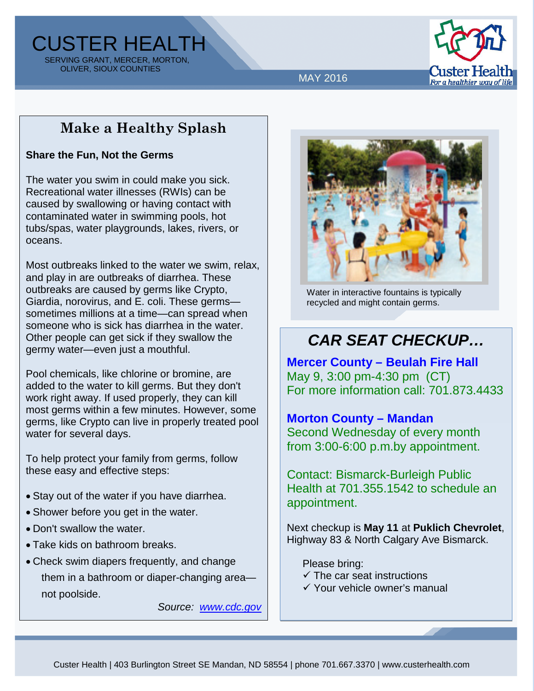CUSTER HEALTH SERVING GRANT, MERCER, MORTON, OLIVER, SIOUX COUNTIES



MAY 2016

## **Make a Healthy Splash**

#### **Share the Fun, Not the Germs**

The water you swim in could make you sick. Recreational water illnesses (RWIs) can be caused by swallowing or having contact with contaminated water in swimming pools, hot tubs/spas, water playgrounds, lakes, rivers, or oceans.

Most outbreaks linked to the water we swim, relax, and play in are outbreaks of diarrhea. These outbreaks are caused by germs like Crypto, Giardia, norovirus, and E. coli. These germs sometimes millions at a time—can spread when someone who is sick has diarrhea in the water. Other people can get sick if they swallow the germy water—even just a mouthful.

Pool chemicals, like chlorine or bromine, are added to the water to kill germs. But they don't work right away. If used properly, they can kill most germs within a few minutes. However, some germs, like Crypto can live in properly treated pool water for several days.

To help protect your family from germs, follow these easy and effective steps:

- Stay out of the water if you have diarrhea.
- Shower before you get in the water.
- Don't swallow the water.
- Take kids on bathroom breaks.
- Check swim diapers frequently, and change them in a bathroom or diaper-changing area not poolside.

*Source: [www.cdc.gov](http://www.cdc.gov/)*



Water in interactive fountains is typically recycled and might contain germs.

# *CAR SEAT CHECKUP…*

**Mercer County – Beulah Fire Hall** May 9, 3:00 pm-4:30 pm (CT) For more information call: 701.873.4433

### **Morton County – Mandan**

Second Wednesday of every month from 3:00-6:00 p.m.by appointment.

Contact: Bismarck-Burleigh Public Health at 701.355.1542 to schedule an appointment.

Next checkup is **May 11** at **Puklich Chevrolet**, Highway 83 & North Calgary Ave Bismarck.

Please bring:

- $\checkmark$  The car seat instructions
- Your vehicle owner's manual